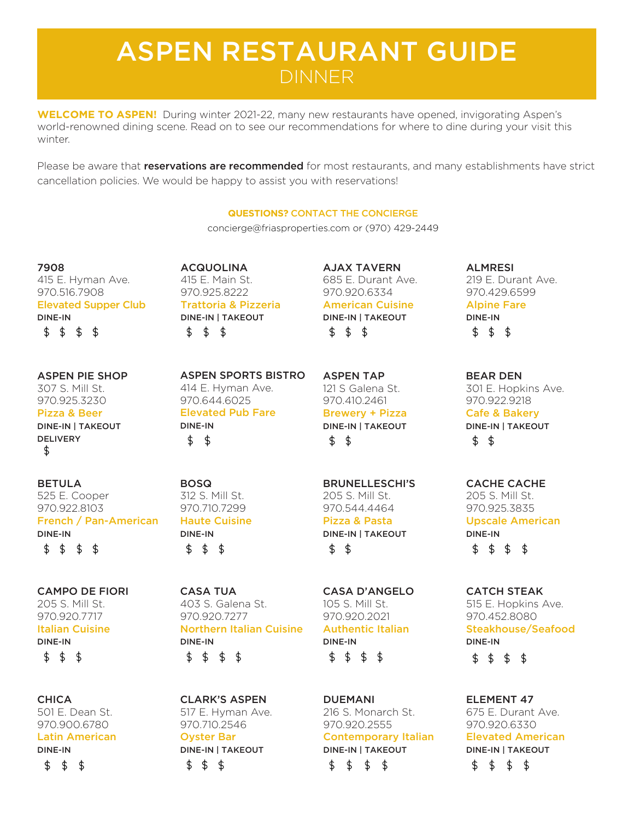# ASPEN RESTAURANT GUIDE DINNER

**WELCOME TO ASPEN!** During winter 2021-22, many new restaurants have opened, invigorating Aspen's world-renowned dining scene. Read on to see our recommendations for where to dine during your visit this winter.

Please be aware that **reservations are recommended** for most restaurants, and many establishments have strict cancellation policies. We would be happy to assist you with reservations!

## **QUESTIONS?** CONTACT THE CONCIERGE

concierge@friasproperties.com or (970) 429-2449

7908 415 E. Hyman Ave. 970.516.7908 Elevated Supper Club DINE-IN  $$ 5 \t$ 5 \t$$ 

### ASPEN PIE SHOP 307 S. Mill St. 970.925.3230 Pizza & Beer

DINE-IN | TAKEOUT DELIVERY \$

BETULA 525 E. Cooper 970.922.8103 French / Pan-American DINE-IN 

CAMPO DE FIORI 205 S. Mill St. 970.920.7717 Italian Cuisine DINE-IN  $$55$ 

**CHICA** 501 E. Dean St. 970.900.6780 Latin American DINE-IN

\$\$ \$ ACQUOLINA 415 E. Main St. 970.925.8222 Trattoria & Pizzeria DINE-IN | TAKEOUT  $\begin{array}{ccccccccc}\n\text{\textsterling} & \text{\textsterling} & \text{\textsterling} & \text{\textstrling} & \text{\textstrling} \\
\text{\textstrling} & \text{\textstrling} & \text{\textstrling} & \text{\textstrling} & \text{\textstrling} & \text{\textstrling} \\
\text{\textstrling} & \text{\textstrling} & \text{\textstrling} & \text{\textstrling} & \text{\textstrling} & \text{\textstrling} \\
\text{\textstrling} & \text{\textstrling} & \text{\textstrling} & \text{\textstrling} & \text{\textstrling} & \text{\textstrling} \\
\text{\textstrling} & \text{\textstrling} & \text{\textstrling} & \text$ 

AJAX TAVERN 685 E. Durant Ave. 970.920.6334 American Cuisine DINE-IN | TAKEOUT  $$555$ 

ASPEN TAP 121 S Galena St. 970.410.2461 Brewery + Pizza DINE-IN | TAKEOUT  $$5$ 

BRUNELLESCHI'S 205 S. Mill St. 970.544.4464 Pizza & Pasta DINE-IN | TAKEOUT  $$5$ 

CASA D'ANGELO 105 S. Mill St. 970.920.2021 Authentic Italian DINE-IN  $$ 555$ 

DUEMANI 216 S. Monarch St. 970.920.2555 Contemporary Italian DINE-IN | TAKEOUT \$  $\mathfrak{g}$ \$\$

ALMRESI 219 E. Durant Ave. 970.429.6599 Alpine Fare DINE-IN  $\begin{array}{ccccccccc}\n\text{\textsterling} & \text{\textsterling} & \text{\textsterling} & \text{\textstrling} & \text{\textstrling} \\
\text{\textstrling} & \text{\textstrling} & \text{\textstrling} & \text{\textstrling} & \text{\textstrling} & \text{\textstrling} \\
\text{\textstrling} & \text{\textstrling} & \text{\textstrling} & \text{\textstrling} & \text{\textstrling} & \text{\textstrling} \\
\text{\textstrling} & \text{\textstrling} & \text{\textstrling} & \text{\textstrling} & \text{\textstrling} & \text{\textstrling} \\
\text{\textstrling} & \text{\textstrling} & \text{\textstrling} & \text$ 

BEAR DEN 301 E. Hopkins Ave. 970.922.9218 Cafe & Bakery DINE-IN | TAKEOUT  $$5$ 

CACHE CACHE 205 S. Mill St. 970.925.3835 Upscale American DINE-IN  $$ 555$ 

CATCH STEAK 515 E. Hopkins Ave. 970.452.8080 Steakhouse/Seafood DINE-IN  $$ 5 \& 5 \& 5$ 

ELEMENT 47 675 E. Durant Ave. 970.920.6330 Elevated American DINE-IN | TAKEOUT $\mathfrak{D}$ \$ \$

ASPEN SPORTS BISTRO 414 E. Hyman Ave. 970.644.6025 Elevated Pub Fare DINE-IN  $$ 5$ 

BOSQ 312 S. Mill St. 970.710.7299 Haute Cuisine DINE-IN  $$ 55$ 

CASA TUA 403 S. Galena St. 970.920.7277 Northern Italian Cuisine DINE-IN  $$3\frac{1}{2}$ 

CLARK'S ASPEN 517 E. Hyman Ave. 970.710.2546 Oyster Bar DINE-IN | TAKEOUT  $$ 5$ \$